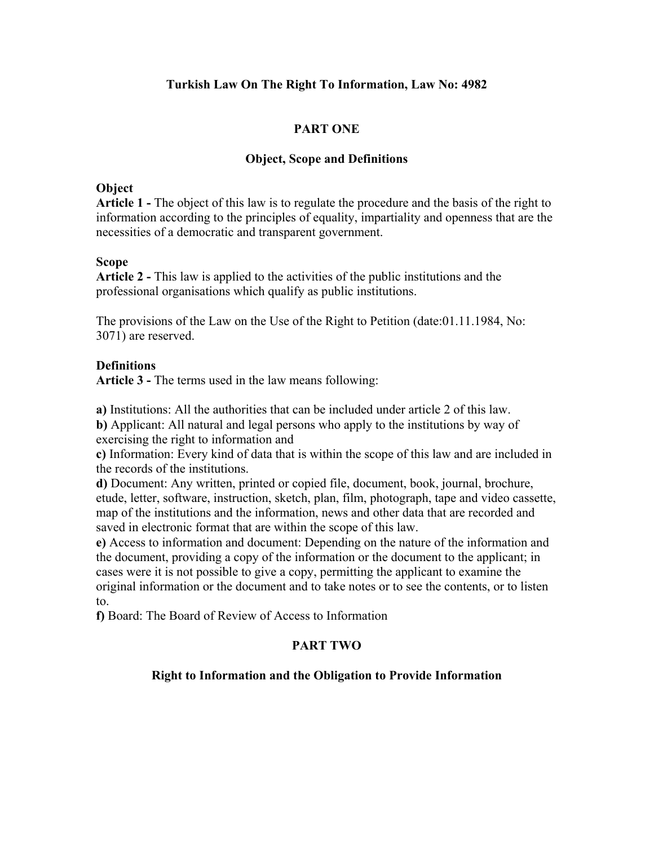# **Turkish Law On The Right To Information, Law No: 4982**

# **PART ONE**

## **Object, Scope and Definitions**

## **Object**

**Article 1 -** The object of this law is to regulate the procedure and the basis of the right to information according to the principles of equality, impartiality and openness that are the necessities of a democratic and transparent government.

## **Scope**

**Article 2 -** This law is applied to the activities of the public institutions and the professional organisations which qualify as public institutions.

The provisions of the Law on the Use of the Right to Petition (date:01.11.1984, No: 3071) are reserved.

## **Definitions**

**Article 3 -** The terms used in the law means following:

**a)** Institutions: All the authorities that can be included under article 2 of this law.

**b)** Applicant: All natural and legal persons who apply to the institutions by way of exercising the right to information and

**c)** Information: Every kind of data that is within the scope of this law and are included in the records of the institutions.

**d)** Document: Any written, printed or copied file, document, book, journal, brochure, etude, letter, software, instruction, sketch, plan, film, photograph, tape and video cassette, map of the institutions and the information, news and other data that are recorded and saved in electronic format that are within the scope of this law.

**e)** Access to information and document: Depending on the nature of the information and the document, providing a copy of the information or the document to the applicant; in cases were it is not possible to give a copy, permitting the applicant to examine the original information or the document and to take notes or to see the contents, or to listen to.

**f)** Board: The Board of Review of Access to Information

# **PART TWO**

# **Right to Information and the Obligation to Provide Information**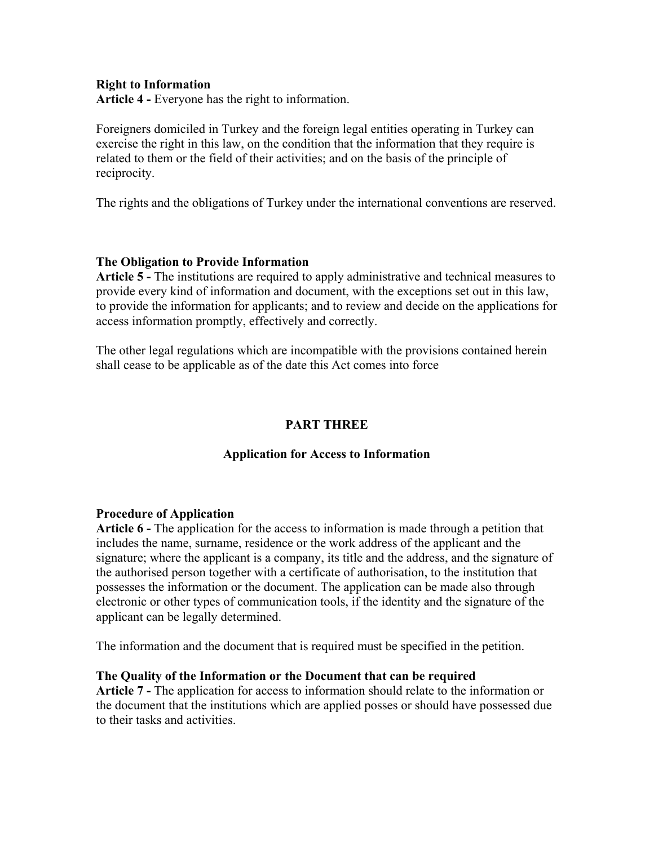#### **Right to Information**

**Article 4 -** Everyone has the right to information.

Foreigners domiciled in Turkey and the foreign legal entities operating in Turkey can exercise the right in this law, on the condition that the information that they require is related to them or the field of their activities; and on the basis of the principle of reciprocity.

The rights and the obligations of Turkey under the international conventions are reserved.

#### **The Obligation to Provide Information**

**Article 5 -** The institutions are required to apply administrative and technical measures to provide every kind of information and document, with the exceptions set out in this law, to provide the information for applicants; and to review and decide on the applications for access information promptly, effectively and correctly.

The other legal regulations which are incompatible with the provisions contained herein shall cease to be applicable as of the date this Act comes into force

## **PART THREE**

## **Application for Access to Information**

#### **Procedure of Application**

**Article 6 -** The application for the access to information is made through a petition that includes the name, surname, residence or the work address of the applicant and the signature; where the applicant is a company, its title and the address, and the signature of the authorised person together with a certificate of authorisation, to the institution that possesses the information or the document. The application can be made also through electronic or other types of communication tools, if the identity and the signature of the applicant can be legally determined.

The information and the document that is required must be specified in the petition.

#### **The Quality of the Information or the Document that can be required**

**Article 7 -** The application for access to information should relate to the information or the document that the institutions which are applied posses or should have possessed due to their tasks and activities.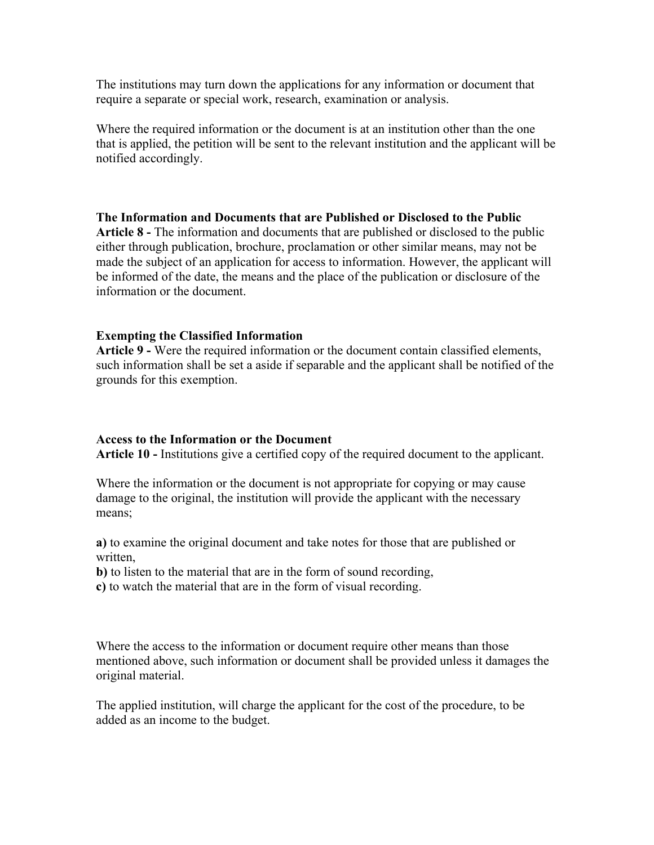The institutions may turn down the applications for any information or document that require a separate or special work, research, examination or analysis.

Where the required information or the document is at an institution other than the one that is applied, the petition will be sent to the relevant institution and the applicant will be notified accordingly.

## **The Information and Documents that are Published or Disclosed to the Public**

**Article 8 -** The information and documents that are published or disclosed to the public either through publication, brochure, proclamation or other similar means, may not be made the subject of an application for access to information. However, the applicant will be informed of the date, the means and the place of the publication or disclosure of the information or the document.

# **Exempting the Classified Information**

**Article 9 -** Were the required information or the document contain classified elements, such information shall be set a aside if separable and the applicant shall be notified of the grounds for this exemption.

## **Access to the Information or the Document**

**Article 10 -** Institutions give a certified copy of the required document to the applicant.

Where the information or the document is not appropriate for copying or may cause damage to the original, the institution will provide the applicant with the necessary means;

**a)** to examine the original document and take notes for those that are published or written,

**b)** to listen to the material that are in the form of sound recording,

**c)** to watch the material that are in the form of visual recording.

Where the access to the information or document require other means than those mentioned above, such information or document shall be provided unless it damages the original material.

The applied institution, will charge the applicant for the cost of the procedure, to be added as an income to the budget.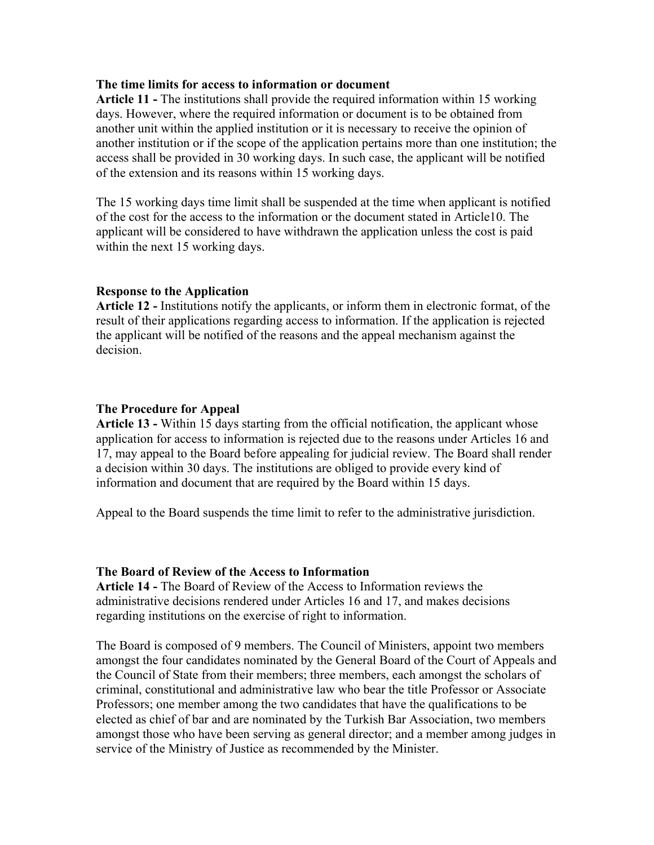#### **The time limits for access to information or document**

**Article 11 -** The institutions shall provide the required information within 15 working days. However, where the required information or document is to be obtained from another unit within the applied institution or it is necessary to receive the opinion of another institution or if the scope of the application pertains more than one institution; the access shall be provided in 30 working days. In such case, the applicant will be notified of the extension and its reasons within 15 working days.

The 15 working days time limit shall be suspended at the time when applicant is notified of the cost for the access to the information or the document stated in Article10. The applicant will be considered to have withdrawn the application unless the cost is paid within the next 15 working days.

## **Response to the Application**

**Article 12 -** Institutions notify the applicants, or inform them in electronic format, of the result of their applications regarding access to information. If the application is rejected the applicant will be notified of the reasons and the appeal mechanism against the decision.

#### **The Procedure for Appeal**

**Article 13 -** Within 15 days starting from the official notification, the applicant whose application for access to information is rejected due to the reasons under Articles 16 and 17, may appeal to the Board before appealing for judicial review. The Board shall render a decision within 30 days. The institutions are obliged to provide every kind of information and document that are required by the Board within 15 days.

Appeal to the Board suspends the time limit to refer to the administrative jurisdiction.

#### **The Board of Review of the Access to Information**

**Article 14 -** The Board of Review of the Access to Information reviews the administrative decisions rendered under Articles 16 and 17, and makes decisions regarding institutions on the exercise of right to information.

The Board is composed of 9 members. The Council of Ministers, appoint two members amongst the four candidates nominated by the General Board of the Court of Appeals and the Council of State from their members; three members, each amongst the scholars of criminal, constitutional and administrative law who bear the title Professor or Associate Professors; one member among the two candidates that have the qualifications to be elected as chief of bar and are nominated by the Turkish Bar Association, two members amongst those who have been serving as general director; and a member among judges in service of the Ministry of Justice as recommended by the Minister.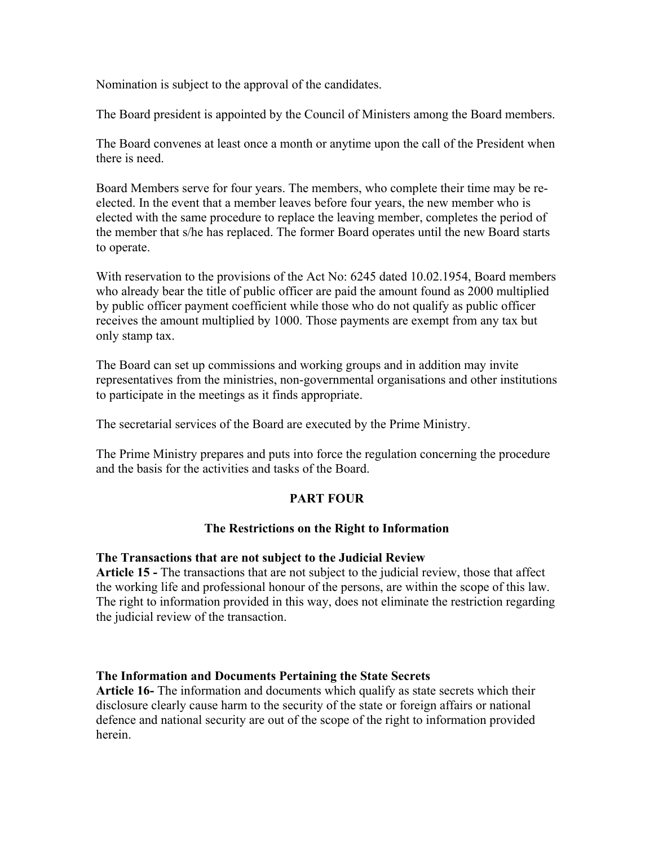Nomination is subject to the approval of the candidates.

The Board president is appointed by the Council of Ministers among the Board members.

The Board convenes at least once a month or anytime upon the call of the President when there is need.

Board Members serve for four years. The members, who complete their time may be reelected. In the event that a member leaves before four years, the new member who is elected with the same procedure to replace the leaving member, completes the period of the member that s/he has replaced. The former Board operates until the new Board starts to operate.

With reservation to the provisions of the Act No: 6245 dated 10.02.1954, Board members who already bear the title of public officer are paid the amount found as 2000 multiplied by public officer payment coefficient while those who do not qualify as public officer receives the amount multiplied by 1000. Those payments are exempt from any tax but only stamp tax.

The Board can set up commissions and working groups and in addition may invite representatives from the ministries, non-governmental organisations and other institutions to participate in the meetings as it finds appropriate.

The secretarial services of the Board are executed by the Prime Ministry.

The Prime Ministry prepares and puts into force the regulation concerning the procedure and the basis for the activities and tasks of the Board.

# **PART FOUR**

# **The Restrictions on the Right to Information**

## **The Transactions that are not subject to the Judicial Review**

**Article 15 -** The transactions that are not subject to the judicial review, those that affect the working life and professional honour of the persons, are within the scope of this law. The right to information provided in this way, does not eliminate the restriction regarding the judicial review of the transaction.

# **The Information and Documents Pertaining the State Secrets**

**Article 16-** The information and documents which qualify as state secrets which their disclosure clearly cause harm to the security of the state or foreign affairs or national defence and national security are out of the scope of the right to information provided herein.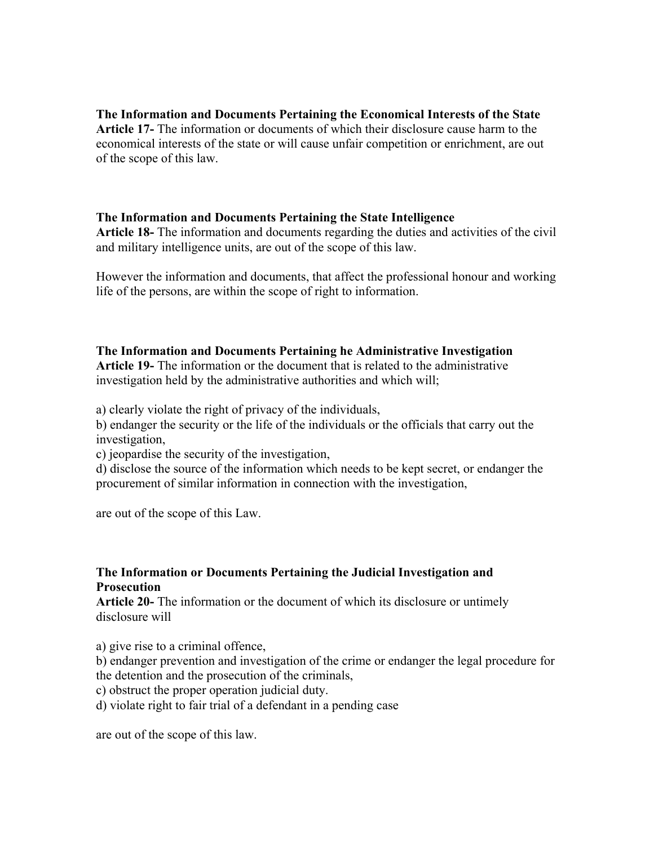**The Information and Documents Pertaining the Economical Interests of the State Article 17-** The information or documents of which their disclosure cause harm to the economical interests of the state or will cause unfair competition or enrichment, are out of the scope of this law.

## **The Information and Documents Pertaining the State Intelligence**

**Article 18-** The information and documents regarding the duties and activities of the civil and military intelligence units, are out of the scope of this law.

However the information and documents, that affect the professional honour and working life of the persons, are within the scope of right to information.

# **The Information and Documents Pertaining he Administrative Investigation**

**Article 19-** The information or the document that is related to the administrative investigation held by the administrative authorities and which will;

a) clearly violate the right of privacy of the individuals,

b) endanger the security or the life of the individuals or the officials that carry out the investigation,

c) jeopardise the security of the investigation,

d) disclose the source of the information which needs to be kept secret, or endanger the procurement of similar information in connection with the investigation,

are out of the scope of this Law.

# **The Information or Documents Pertaining the Judicial Investigation and Prosecution**

**Article 20-** The information or the document of which its disclosure or untimely disclosure will

a) give rise to a criminal offence,

b) endanger prevention and investigation of the crime or endanger the legal procedure for the detention and the prosecution of the criminals,

c) obstruct the proper operation judicial duty.

d) violate right to fair trial of a defendant in a pending case

are out of the scope of this law.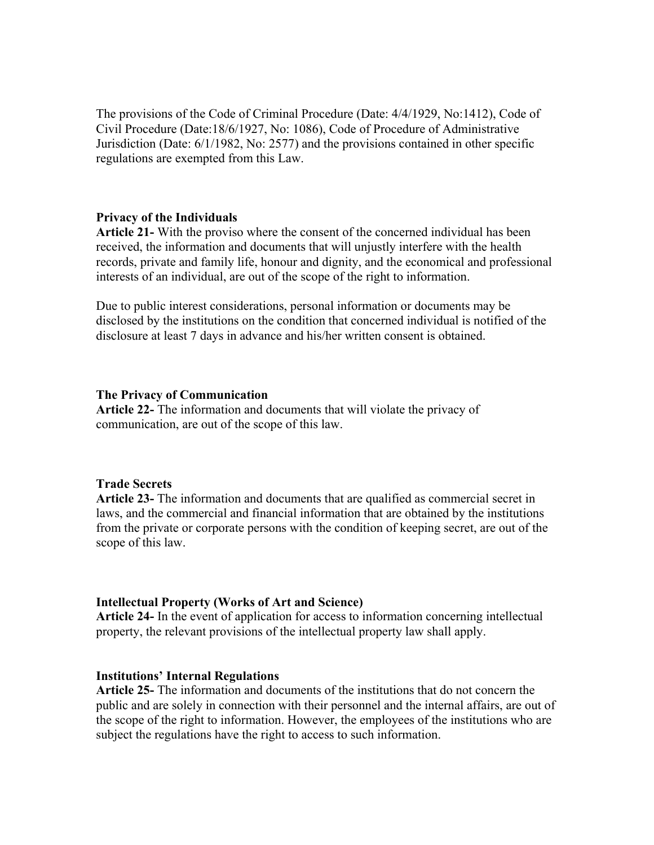The provisions of the Code of Criminal Procedure (Date: 4/4/1929, No:1412), Code of Civil Procedure (Date:18/6/1927, No: 1086), Code of Procedure of Administrative Jurisdiction (Date: 6/1/1982, No: 2577) and the provisions contained in other specific regulations are exempted from this Law.

#### **Privacy of the Individuals**

**Article 21-** With the proviso where the consent of the concerned individual has been received, the information and documents that will unjustly interfere with the health records, private and family life, honour and dignity, and the economical and professional interests of an individual, are out of the scope of the right to information.

Due to public interest considerations, personal information or documents may be disclosed by the institutions on the condition that concerned individual is notified of the disclosure at least 7 days in advance and his/her written consent is obtained.

#### **The Privacy of Communication**

**Article 22-** The information and documents that will violate the privacy of communication, are out of the scope of this law.

#### **Trade Secrets**

**Article 23-** The information and documents that are qualified as commercial secret in laws, and the commercial and financial information that are obtained by the institutions from the private or corporate persons with the condition of keeping secret, are out of the scope of this law.

## **Intellectual Property (Works of Art and Science)**

**Article 24-** In the event of application for access to information concerning intellectual property, the relevant provisions of the intellectual property law shall apply.

## **Institutions' Internal Regulations**

**Article 25-** The information and documents of the institutions that do not concern the public and are solely in connection with their personnel and the internal affairs, are out of the scope of the right to information. However, the employees of the institutions who are subject the regulations have the right to access to such information.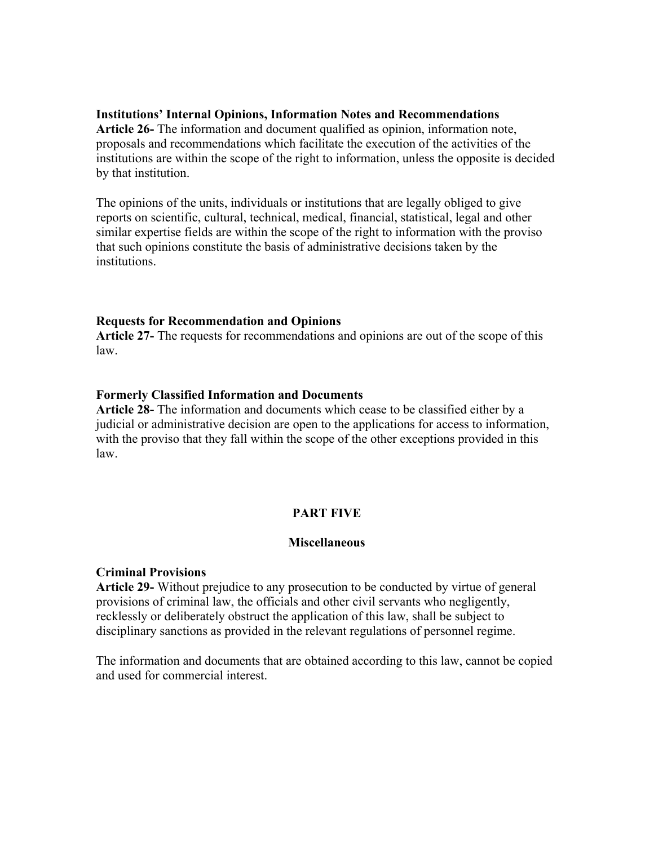## **Institutions' Internal Opinions, Information Notes and Recommendations**

**Article 26-** The information and document qualified as opinion, information note, proposals and recommendations which facilitate the execution of the activities of the institutions are within the scope of the right to information, unless the opposite is decided by that institution.

The opinions of the units, individuals or institutions that are legally obliged to give reports on scientific, cultural, technical, medical, financial, statistical, legal and other similar expertise fields are within the scope of the right to information with the proviso that such opinions constitute the basis of administrative decisions taken by the **institutions** 

#### **Requests for Recommendation and Opinions**

**Article 27-** The requests for recommendations and opinions are out of the scope of this law.

#### **Formerly Classified Information and Documents**

**Article 28-** The information and documents which cease to be classified either by a judicial or administrative decision are open to the applications for access to information, with the proviso that they fall within the scope of the other exceptions provided in this law.

# **PART FIVE**

#### **Miscellaneous**

#### **Criminal Provisions**

**Article 29-** Without prejudice to any prosecution to be conducted by virtue of general provisions of criminal law, the officials and other civil servants who negligently, recklessly or deliberately obstruct the application of this law, shall be subject to disciplinary sanctions as provided in the relevant regulations of personnel regime.

The information and documents that are obtained according to this law, cannot be copied and used for commercial interest.